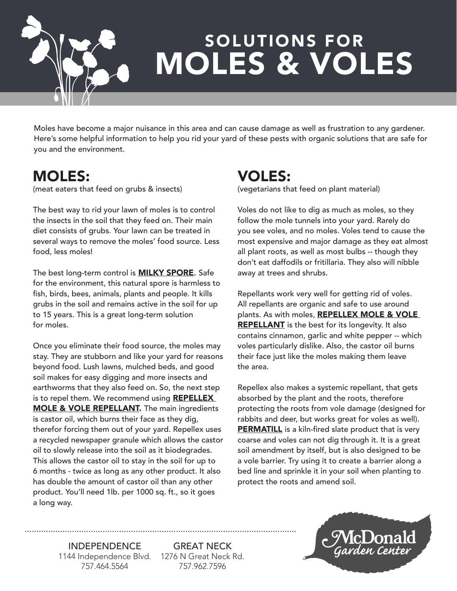

## MOLES & VOLES SOLUTIONS FOR

Moles have become a major nuisance in this area and can cause damage as well as frustration to any gardener. Here's some helpful information to help you rid your yard of these pests with organic solutions that are safe for you and the environment.

## MOLES:

(meat eaters that feed on grubs & insects)

The best way to rid your lawn of moles is to control the insects in the soil that they feed on. Their main diet consists of grubs. Your lawn can be treated in several ways to remove the moles' food source. Less food, less moles!

The best long-term control is **MILKY SPORE**. Safe for the environment, this natural spore is harmless to fish, birds, bees, animals, plants and people. It kills grubs in the soil and remains active in the soil for up to 15 years. This is a great long-term solution for moles.

Once you eliminate their food source, the moles may stay. They are stubborn and like your yard for reasons beyond food. Lush lawns, mulched beds, and good soil makes for easy digging and more insects and earthworms that they also feed on. So, the next step is to repel them. We recommend using REPELLEX **MOLE & VOLE REPELLANT.** The main ingredients is castor oil, which burns their face as they dig, therefor forcing them out of your yard. Repellex uses a recycled newspaper granule which allows the castor oil to slowly release into the soil as it biodegrades. This allows the castor oil to stay in the soil for up to 6 months - twice as long as any other product. It also has double the amount of castor oil than any other product. You'll need 1lb. per 1000 sq. ft., so it goes a long way.

## VOLES:

(vegetarians that feed on plant material)

Voles do not like to dig as much as moles, so they follow the mole tunnels into your yard. Rarely do you see voles, and no moles. Voles tend to cause the most expensive and major damage as they eat almost all plant roots, as well as most bulbs -- though they don't eat daffodils or fritillaria. They also will nibble away at trees and shrubs.

Repellants work very well for getting rid of voles. All repellants are organic and safe to use around plants. As with moles, REPELLEX MOLE & VOLE REPELLANT is the best for its longevity. It also contains cinnamon, garlic and white pepper -- which voles particularly dislike. Also, the castor oil burns their face just like the moles making them leave the area.

Repellex also makes a systemic repellant, that gets absorbed by the plant and the roots, therefore protecting the roots from vole damage (designed for rabbits and deer, but works great for voles as well). **PERMATILL** is a kiln-fired slate product that is very coarse and voles can not dig through it. It is a great soil amendment by itself, but is also designed to be a vole barrier. Try using it to create a barrier along a bed line and sprinkle it in your soil when planting to protect the roots and amend soil.

INDEPENDENCE 1144 Independence Blvd. 1276 N Great Neck Rd. 757.464.5564

GREAT NECK 757.962.7596